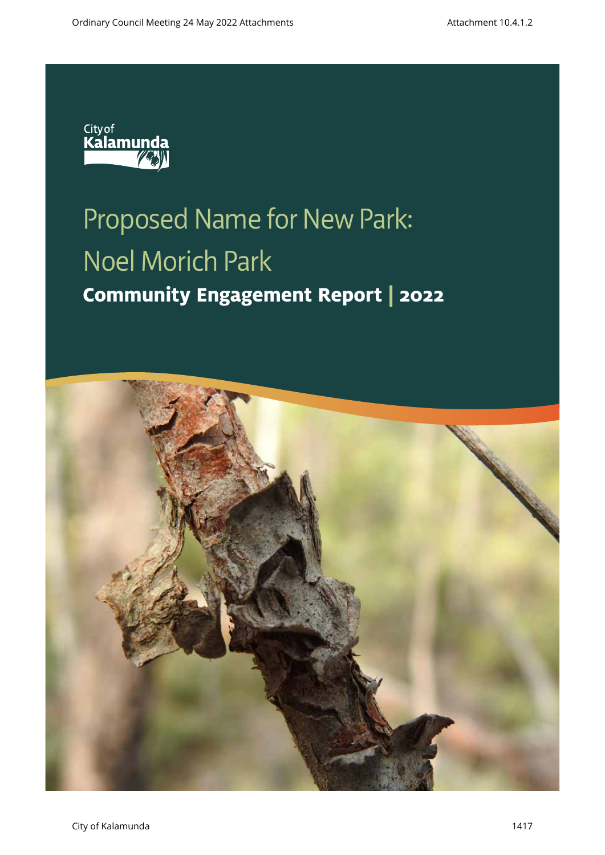

# Proposed Name for New Park: Noel Morich Park **Community Engagement Report | 2022**

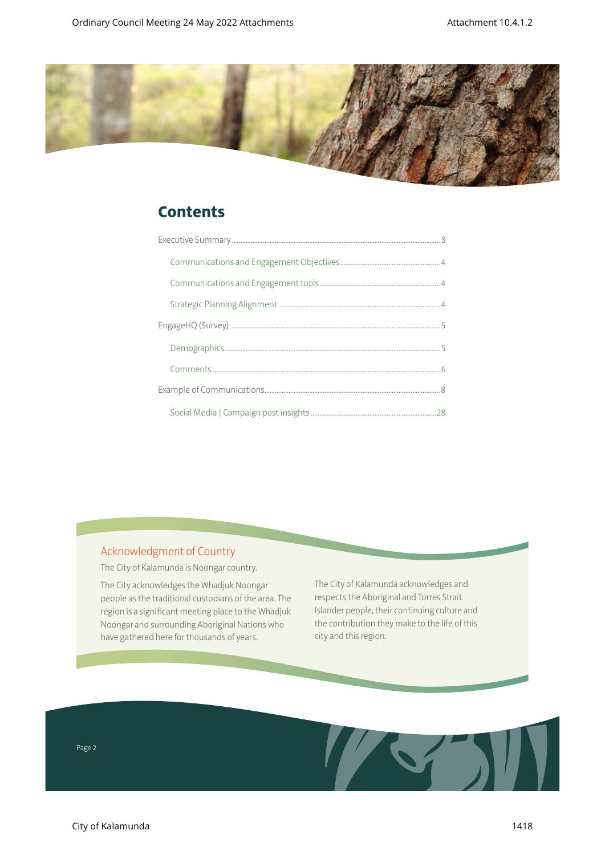

# **Contents**

### Acknowledgment of Country

The City of Kalamunda is Noongar country.

The City acknowledges the Whadjuk Noongar people as the traditional custodians of the area. The region is a significant meeting place to the Whadjuk Noongar and surrounding Aboriginal Nations who have gathered here for thousands of years.

The City of Kalamunda acknowledges and respects the Aboriginal and Torres Strait Islander people, their continuing culture and the contribution they make to the life of this city and this region.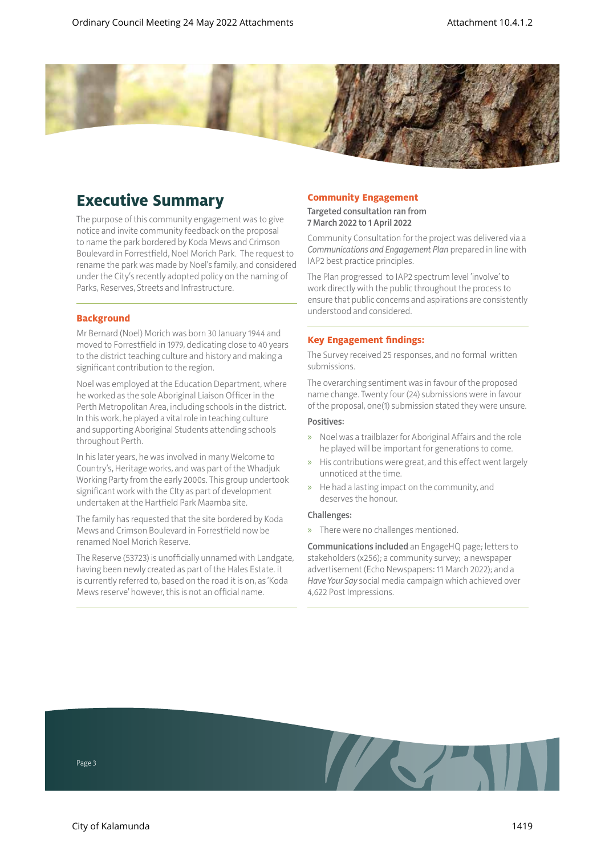

# **Executive Summary**

The purpose of this community engagement was to give notice and invite community feedback on the proposal to name the park bordered by Koda Mews and Crimson Boulevard in Forrestfield, Noel Morich Park. The request to rename the park was made by Noel's family, and considered under the City's recently adopted policy on the naming of Parks, Reserves, Streets and Infrastructure.

#### **Background**

Mr Bernard (Noel) Morich was born 30 January 1944 and moved to Forrestfield in 1979, dedicating close to 40 years to the district teaching culture and history and making a significant contribution to the region.

Noel was employed at the Education Department, where he worked as the sole Aboriginal Liaison Officer in the Perth Metropolitan Area, including schools in the district. In this work, he played a vital role in teaching culture and supporting Aboriginal Students attending schools throughout Perth.

In his later years, he was involved in many Welcome to Country's, Heritage works, and was part of the Whadjuk Working Party from the early 2000s. This group undertook significant work with the CIty as part of development undertaken at the Hartfield Park Maamba site.

The family has requested that the site bordered by Koda Mews and Crimson Boulevard in Forrestfield now be renamed Noel Morich Reserve.

The Reserve (53723) is unofficially unnamed with Landgate, having been newly created as part of the Hales Estate. it is currently referred to, based on the road it is on, as 'Koda Mews reserve' however, this is not an official name.

#### **Community Engagement**

Targeted consultation ran from 7 March 2022 to 1 April 2022

Community Consultation for the project was delivered via a *Communications and Engagement Plan* prepared in line with IAP2 best practice principles.

The Plan progressed to IAP2 spectrum level 'involve' to work directly with the public throughout the process to ensure that public concerns and aspirations are consistently understood and considered.

#### **Key Engagement findings:**

The Survey received 25 responses, and no formal written submissions.

The overarching sentiment was in favour of the proposed name change. Twenty four (24) submissions were in favour of the proposal, one(1) submission stated they were unsure.

#### Positives:

- » Noel was a trailblazer for Aboriginal Affairs and the role he played will be important for generations to come.
- » His contributions were great, and this effect went largely unnoticed at the time.
- » He had a lasting impact on the community, and deserves the honour.

#### Challenges:

» There were no challenges mentioned.

The Company

Communications included an EngageHQ page; letters to stakeholders (x256); a community survey; a newspaper advertisement (Echo Newspapers: 11 March 2022); and a *Have Your Say* social media campaign which achieved over 4,622 Post Impressions.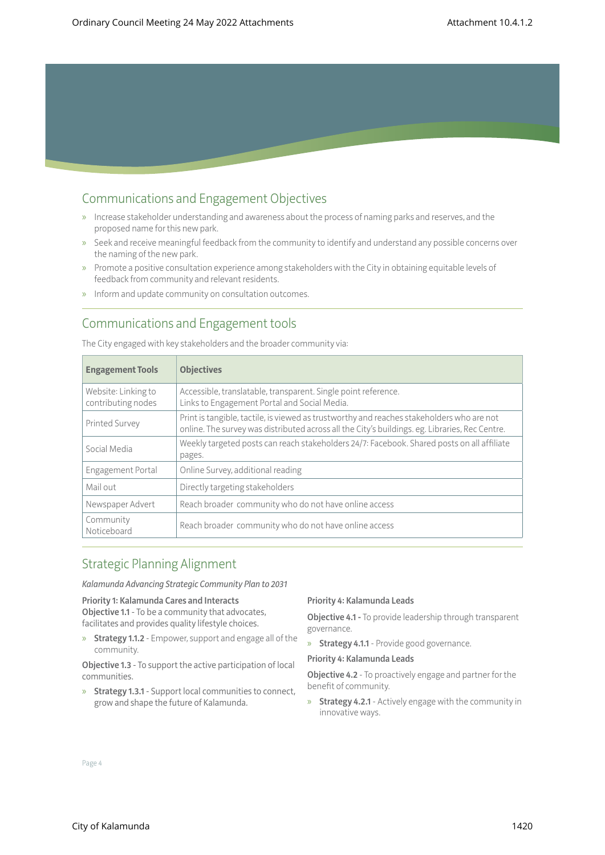## Communications and Engagement Objectives

- » Increase stakeholder understanding and awareness about the process of naming parks and reserves, and the proposed name for this new park.
- » Seek and receive meaningful feedback from the community to identify and understand any possible concerns over the naming of the new park.
- » Promote a positive consultation experience among stakeholders with the City in obtaining equitable levels of feedback from community and relevant residents.
- » Inform and update community on consultation outcomes.

### Communications and Engagement tools

The City engaged with key stakeholders and the broader community via:

| <b>Engagement Tools</b>                   | <b>Objectives</b>                                                                                                                                                                           |
|-------------------------------------------|---------------------------------------------------------------------------------------------------------------------------------------------------------------------------------------------|
| Website: Linking to<br>contributing nodes | Accessible, translatable, transparent. Single point reference.<br>Links to Engagement Portal and Social Media.                                                                              |
| <b>Printed Survey</b>                     | Print is tangible, tactile, is viewed as trustworthy and reaches stakeholders who are not<br>online. The survey was distributed across all the City's buildings. eg. Libraries, Rec Centre. |
| Social Media                              | Weekly targeted posts can reach stakeholders 24/7: Facebook. Shared posts on all affiliate<br>pages.                                                                                        |
| <b>Engagement Portal</b>                  | Online Survey, additional reading                                                                                                                                                           |
| Mail out                                  | Directly targeting stakeholders                                                                                                                                                             |
| Newspaper Advert                          | Reach broader community who do not have online access                                                                                                                                       |
| Community<br>Noticeboard                  | Reach broader community who do not have online access                                                                                                                                       |

### Strategic Planning Alignment

*Kalamunda Advancing Strategic Community Plan to 2031*

#### Priority 1: Kalamunda Cares and Interacts

Objective 1.1 - To be a community that advocates, facilitates and provides quality lifestyle choices.

» Strategy 1.1.2 - Empower, support and engage all of the community.

Objective 1.3 - To support the active participation of local communities.

» Strategy 1.3.1 - Support local communities to connect, grow and shape the future of Kalamunda.

#### Priority 4: Kalamunda Leads

Objective 4.1 - To provide leadership through transparent governance.

» Strategy 4.1.1 - Provide good governance.

#### Priority 4: Kalamunda Leads

**Objective 4.2** - To proactively engage and partner for the benefit of community.

» Strategy 4.2.1 - Actively engage with the community in innovative ways.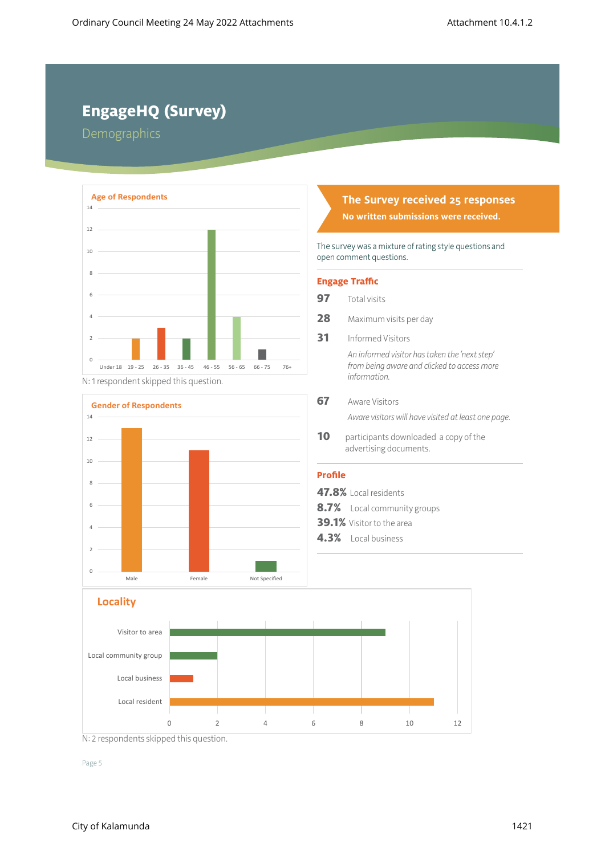# **EngageHQ (Survey)**

Demographics



N: 1 respondent skipped this question.



# **The Survey received 25 responses**

**No written submissions were received.**

The survey was a mixture of rating style questions and open comment questions.

#### **Engage Traffic**

- **97** Total visits
- **28** Maximum visits per day
- **31** Informed Visitors

*An informed visitor has taken the 'next step' from being aware and clicked to access more information.*

**67** Aware Visitors

*Aware visitors will have visited at least one page.*

10 participants downloaded a copy of the advertising documents.

#### **Profile**

- **47.8%** Local residents
- **8.7%** Local community groups
- **39.1%** Visitor to the area
- **4.3%** Local business



N: 2 respondents skipped this question.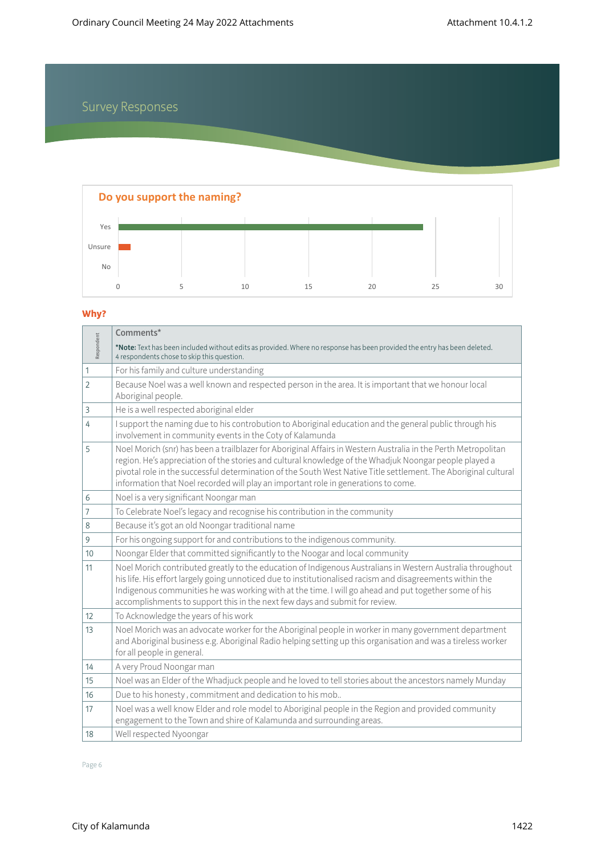# Survey Responses



### **Why?**

| Respondent     | Comments*                                                                                                                                                                                                                                                                                                                                                                                                                         |
|----------------|-----------------------------------------------------------------------------------------------------------------------------------------------------------------------------------------------------------------------------------------------------------------------------------------------------------------------------------------------------------------------------------------------------------------------------------|
|                | *Note: Text has been included without edits as provided. Where no response has been provided the entry has been deleted.<br>4 respondents chose to skip this question.                                                                                                                                                                                                                                                            |
| 1              | For his family and culture understanding                                                                                                                                                                                                                                                                                                                                                                                          |
| 2              | Because Noel was a well known and respected person in the area. It is important that we honour local<br>Aboriginal people.                                                                                                                                                                                                                                                                                                        |
| 3              | He is a well respected aboriginal elder                                                                                                                                                                                                                                                                                                                                                                                           |
| 4              | I support the naming due to his controbution to Aboriginal education and the general public through his<br>involvement in community events in the Coty of Kalamunda                                                                                                                                                                                                                                                               |
| 5              | Noel Morich (snr) has been a trailblazer for Aboriginal Affairs in Western Australia in the Perth Metropolitan<br>region. He's appreciation of the stories and cultural knowledge of the Whadjuk Noongar people played a<br>pivotal role in the successful determination of the South West Native Title settlement. The Aboriginal cultural<br>information that Noel recorded will play an important role in generations to come. |
| 6              | Noel is a very significant Noongar man                                                                                                                                                                                                                                                                                                                                                                                            |
| $\overline{7}$ | To Celebrate Noel's legacy and recognise his contribution in the community                                                                                                                                                                                                                                                                                                                                                        |
| 8              | Because it's got an old Noongar traditional name                                                                                                                                                                                                                                                                                                                                                                                  |
| 9              | For his ongoing support for and contributions to the indigenous community.                                                                                                                                                                                                                                                                                                                                                        |
| 10             | Noongar Elder that committed significantly to the Noogar and local community                                                                                                                                                                                                                                                                                                                                                      |
| 11             | Noel Morich contributed greatly to the education of Indigenous Australians in Western Australia throughout<br>his life. His effort largely going unnoticed due to institutionalised racism and disagreements within the<br>Indigenous communities he was working with at the time. I will go ahead and put together some of his<br>accomplishments to support this in the next few days and submit for review.                    |
| 12             | To Acknowledge the years of his work                                                                                                                                                                                                                                                                                                                                                                                              |
| 13             | Noel Morich was an advocate worker for the Aboriginal people in worker in many government department<br>and Aboriginal business e.g. Aboriginal Radio helping setting up this organisation and was a tireless worker<br>for all people in general.                                                                                                                                                                                |
| 14             | A very Proud Noongar man                                                                                                                                                                                                                                                                                                                                                                                                          |
| 15             | Noel was an Elder of the Whadjuck people and he loved to tell stories about the ancestors namely Munday                                                                                                                                                                                                                                                                                                                           |
| 16             | Due to his honesty, commitment and dedication to his mob                                                                                                                                                                                                                                                                                                                                                                          |
| 17             | Noel was a well know Elder and role model to Aboriginal people in the Region and provided community<br>engagement to the Town and shire of Kalamunda and surrounding areas.                                                                                                                                                                                                                                                       |
| 18             | Well respected Nyoongar                                                                                                                                                                                                                                                                                                                                                                                                           |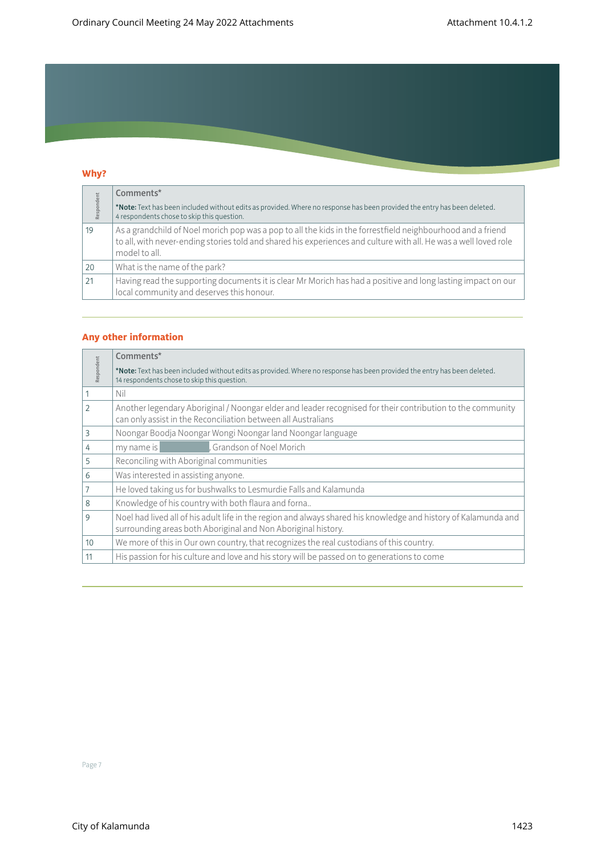### **Why?**

| Respondent | Comments*                                                                                                                                                                                                                                        |
|------------|--------------------------------------------------------------------------------------------------------------------------------------------------------------------------------------------------------------------------------------------------|
|            | *Note: Text has been included without edits as provided. Where no response has been provided the entry has been deleted.<br>4 respondents chose to skip this question.                                                                           |
| 19         | As a grandchild of Noel morich pop was a pop to all the kids in the forrestfield neighbourhood and a friend<br>to all, with never-ending stories told and shared his experiences and culture with all. He was a well loved role<br>model to all. |
| 20         | What is the name of the park?                                                                                                                                                                                                                    |
| 21         | Having read the supporting documents it is clear Mr Morich has had a positive and long lasting impact on our<br>local community and deserves this honour.                                                                                        |

#### **Any other information**

| Respondent     | Comments*                                                                                                                                                                        |  |
|----------------|----------------------------------------------------------------------------------------------------------------------------------------------------------------------------------|--|
|                | *Note: Text has been included without edits as provided. Where no response has been provided the entry has been deleted.<br>14 respondents chose to skip this question.          |  |
|                | Nil                                                                                                                                                                              |  |
| $\overline{2}$ | Another legendary Aboriginal / Noongar elder and leader recognised for their contribution to the community<br>can only assist in the Reconciliation between all Australians      |  |
| 3              | Noongar Boodja Noongar Wongi Noongar land Noongar language                                                                                                                       |  |
| 4              | Grandson of Noel Morich<br>my name is                                                                                                                                            |  |
| 5              | Reconciling with Aboriginal communities                                                                                                                                          |  |
| 6              | Was interested in assisting anyone.                                                                                                                                              |  |
| 7              | He loved taking us for bushwalks to Lesmurdie Falls and Kalamunda                                                                                                                |  |
| 8              | Knowledge of his country with both flaura and forna                                                                                                                              |  |
| 9              | Noel had lived all of his adult life in the region and always shared his knowledge and history of Kalamunda and<br>surrounding areas both Aboriginal and Non Aboriginal history. |  |
| 10             | We more of this in Our own country, that recognizes the real custodians of this country.                                                                                         |  |
| 11             | His passion for his culture and love and his story will be passed on to generations to come                                                                                      |  |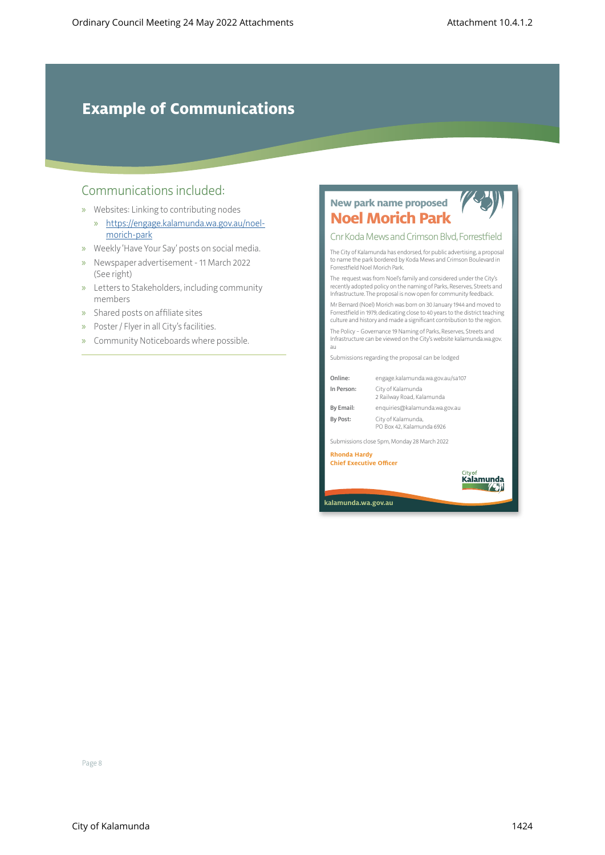# **Example of Communications**

### Communications included:

- » Websites: Linking to contributing nodes
	- » [https://engage.kalamunda.wa.gov.au/noel](https://engage.kalamunda.wa.gov.au/noel-morich-park)[morich-park](https://engage.kalamunda.wa.gov.au/noel-morich-park)
- » Weekly 'Have Your Say' posts on social media.
- » Newspaper advertisement 11 March 2022 (See right)
- » Letters to Stakeholders, including community members
- » Shared posts on affiliate sites
- » Poster / Flyer in all City's facilities.
- » Community Noticeboards where possible.





**kalamunda.wa.gov.au**